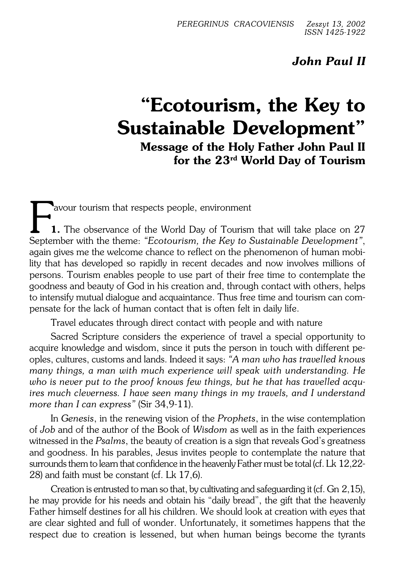## *John Paul II*

## **"Ecotourism, the Key to Sustainable Development"**

**Message of the Holy Father John Paul II for the 23rd World Day of Tourism**

Favour tourism that respects people, environment<br> **1.** The observance of the World Day of Tourism that will take place on 27<br>
September with the theme: *"Ecotourism, the Key to Sustainable Development"*, avour tourism that respects people, environment **1.** The observance of the World Day of Tourism that will take place on 27 again gives me the welcome chance to reflect on the phenomenon of human mobi− lity that has developed so rapidly in recent decades and now involves millions of persons. Tourism enables people to use part of their free time to contemplate the goodness and beauty of God in his creation and, through contact with others, helps to intensify mutual dialogue and acquaintance. Thus free time and tourism can com− pensate for the lack of human contact that is often felt in daily life.

Travel educates through direct contact with people and with nature

Sacred Scripture considers the experience of travel a special opportunity to acquire knowledge and wisdom, since it puts the person in touch with different pe− oples, cultures, customs and lands. Indeed it says: *"A man who has travelled knows many things, a man with much experience will speak with understanding. He who is never put to the proof knows few things, but he that has travelled acqu− ires much cleverness. I have seen many things in my travels, and I understand more than I can express"* (Sir 34,9−11).

In *Genesis*, in the renewing vision of the *Prophets*, in the wise contemplation of *Job* and of the author of the Book of *Wisdom* as well as in the faith experiences witnessed in the *Psalms*, the beauty of creation is a sign that reveals God's greatness and goodness. In his parables, Jesus invites people to contemplate the nature that surrounds them to learn that confidence in the heavenly Father must be total (cf. Lk 12,22− 28) and faith must be constant (cf. Lk 17,6).

Creation is entrusted to man so that, by cultivating and safeguarding it (cf. Gn2,15), he may provide for his needs and obtain his "daily bread", the gift that the heavenly Father himself destines for all his children. We should look at creation with eyes that are clear sighted and full of wonder. Unfortunately, it sometimes happens that the respect due to creation is lessened, but when human beings become the tyrants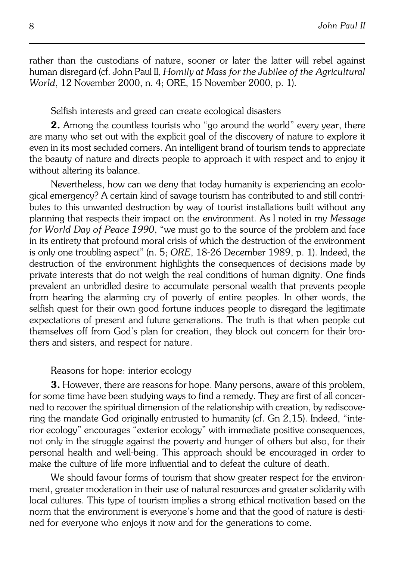rather than the custodians of nature, sooner or later the latter will rebel against human disregard (cf. John Paul II, Homily at Mass for the Jubilee of the Agricultural *World*, 12 November 2000, n. 4; ORE, 15 November 2000, p. 1).

Selfish interests and greed can create ecological disasters

**2.** Among the countless tourists who "go around the world" every year, there are many who set out with the explicit goal of the discovery of nature to explore it even in its most secluded corners. An intelligent brand of tourism tends to appreciate the beauty of nature and directs people to approach it with respect and to enjoy it without altering its balance.

Nevertheless, how can we deny that today humanity is experiencing an ecolo− gical emergency? A certain kind of savage tourism has contributed to and still contri− butes to this unwanted destruction by way of tourist installations built without any planning that respects their impact on the environment. As I noted in my *Message for World Day of Peace 1990*, "we must go to the source of the problem and face in its entirety that profound moral crisis of which the destruction of the environment is only one troubling aspect" (n. 5; *ORE*, 18−26 December 1989, p. 1). Indeed, the destruction of the environment highlights the consequences of decisions made by private interests that do not weigh the real conditions of human dignity. One finds prevalent an unbridled desire to accumulate personal wealth that prevents people from hearing the alarming cry of poverty of entire peoples. In other words, the selfish quest for their own good fortune induces people to disregard the legitimate expectations of present and future generations. The truth is that when people cut themselves off from God's plan for creation, they block out concern for their bro− thers and sisters, and respect for nature.

## Reasons for hope: interior ecology

**3.** However, there are reasons for hope. Many persons, aware of this problem, for some time have been studying ways to find a remedy. They are first of all concer− ned to recover the spiritual dimension of the relationship with creation, by rediscove− ring the mandate God originally entrusted to humanity (cf. Gn 2,15). Indeed, "inte− rior ecology" encourages "exterior ecology" with immediate positive consequences, not only in the struggle against the poverty and hunger of others but also, for their personal health and well−being. This approach should be encouraged in order to make the culture of life more influential and to defeat the culture of death.

We should favour forms of tourism that show greater respect for the environ− ment, greater moderation in their use of natural resources and greater solidarity with local cultures. This type of tourism implies a strong ethical motivation based on the norm that the environment is everyone's home and that the good of nature is desti− ned for everyone who enjoys it now and for the generations to come.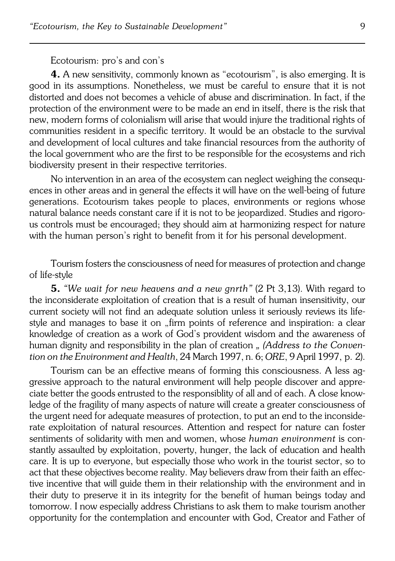## Ecotourism: pro's and con's

**4.** A new sensitivity, commonly known as "ecotourism", is also emerging. It is good in its assumptions. Nonetheless, we must be careful to ensure that it is not distorted and does not becomes a vehicle of abuse and discrimination. In fact, if the protection of the environment were to be made an end in itself, there is the risk that new, modern forms of colonialism will arise that would injure the traditional rights of communities resident in a specific territory. It would be an obstacle to the survival and development of local cultures and take financial resources from the authority of the local government who are the first to be responsible for the ecosystems and rich biodiversity present in their respective territories.

No intervention in an area of the ecosystem can neglect weighing the consequ− ences in other areas and in general the effects it will have on the well−being of future generations. Ecotourism takes people to places, environments or regions whose natural balance needs constant care if it is not to be jeopardized. Studies and rigoro− us controls must be encouraged; they should aim at harmonizing respect for nature with the human person's right to benefit from it for his personal development.

Tourism fosters the consciousness of need for measures of protection and change of life−style

**5.** *"We wait for new heavens and a new gnrth"* (2 Pt 3,13). With regard to the inconsiderate exploitation of creation that is a result of human insensitivity, our current society will not find an adequate solution unless it seriously reviews its life− style and manages to base it on "firm points of reference and inspiration: a clear knowledge of creation as a work of God's provident wisdom and the awareness of human dignity and responsibility in the plan of creation *" (Address to the Conven− tion on the Environment and Health, 24 March 1997, n. 6; ORE, 9 April 1997, p. 2).* 

Tourism can be an effective means of forming this consciousness. A less ag− gressive approach to the natural environment will help people discover and appreciate better the goods entrusted to the responsiblity of all and of each. A close know− ledge of the fragility of many aspects of nature will create a greater consciousness of the urgent need for adequate measures of protection, to put an end to the inconside− rate exploitation of natural resources. Attention and respect for nature can foster sentiments of solidarity with men and women, whose *human environment* is con− stantly assaulted by exploitation, poverty, hunger, the lack of education and health care. It is up to everyone, but especially those who work in the tourist sector, so to act that these objectives become reality. May believers draw from their faith an effec− tive incentive that will guide them in their relationship with the environment and in their duty to preserve it in its integrity for the benefit of human beings today and tomorrow. I now especially address Christians to ask them to make tourism another opportunity for the contemplation and encounter with God, Creator and Father of